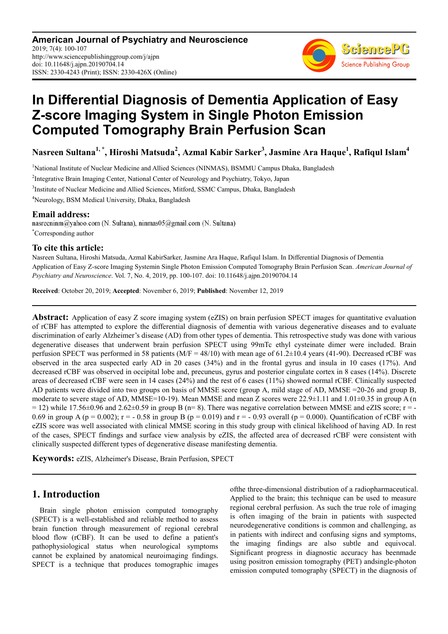**American Journal of Psychiatry and Neuroscience** 2019; 7(4): 100-107 http://www.sciencepublishinggroup.com/j/ajpn doi: 10.11648/j.ajpn.20190704.14 ISSN: 2330-4243 (Print); ISSN: 2330-426X (Online)



# **In Differential Diagnosis of Dementia Application of Easy Z-score Imaging System in Single Photon Emission Computed Tomography Brain Perfusion Scan**

**Nasreen Sultana1, \*, Hiroshi Matsuda<sup>2</sup> , Azmal Kabir Sarker<sup>3</sup> , Jasmine Ara Haque<sup>1</sup> , Rafiqul Islam<sup>4</sup>**

<sup>1</sup>National Institute of Nuclear Medicine and Allied Sciences (NINMAS), BSMMU Campus Dhaka, Bangladesh <sup>2</sup>Integrative Brain Imaging Center, National Center of Neurology and Psychiatry, Tokyo, Japan

<sup>3</sup>Institute of Nuclear Medicine and Allied Sciences, Mitford, SSMC Campus, Dhaka, Bangladesh

<sup>4</sup>Neurology, BSM Medical University, Dhaka, Bangladesh

**Email address:**<br>nasreeninm@yahoo.com (N. Sultana), ninmas05@gmail.com (N. Sultana) \*Corresponding author

#### **To cite this article:**

Nasreen Sultana, Hiroshi Matsuda, Azmal KabirSarker, Jasmine Ara Haque, Rafiqul Islam. In Differential Diagnosis of Dementia Application of Easy Z-score Imaging Systemin Single Photon Emission Computed Tomography Brain Perfusion Scan. *American Journal of Psychiatry and Neuroscience*. Vol. 7, No. 4, 2019, pp. 100-107. doi: 10.11648/j.ajpn.20190704.14

**Received**: October 20, 2019; **Accepted**: November 6, 2019; **Published**: November 12, 2019

**Abstract:** Application of easy Z score imaging system (eZIS) on brain perfusion SPECT images for quantitative evaluation of rCBF has attempted to explore the differential diagnosis of dementia with various degenerative diseases and to evaluate discrimination of early Alzheimer's disease (AD) from other types of dementia. This retrospective study was done with various degenerative diseases that underwent brain perfusion SPECT using 99mTc ethyl cysteinate dimer were included. Brain perfusion SPECT was performed in 58 patients ( $M/F = 48/10$ ) with mean age of 61.2 $\pm$ 10.4 years (41-90). Decreased rCBF was observed in the area suspected early AD in 20 cases (34%) and in the frontal gyrus and insula in 10 cases (17%). And decreased rCBF was observed in occipital lobe and, precuneus, gyrus and posterior cingulate cortex in 8 cases (14%). Discrete areas of decreased rCBF were seen in 14 cases (24%) and the rest of 6 cases (11%) showed normal rCBF. Clinically suspected AD patients were divided into two groups on basis of MMSE score (group A, mild stage of AD, MMSE =20-26 and group B, moderate to severe stage of AD, MMSE=10-19). Mean MMSE and mean Z scores were 22.9±1.11 and 1.01±0.35 in group A (n  $= 12$ ) while 17.56 $\pm$ 0.96 and 2.62 $\pm$ 0.59 in group B (n= 8). There was negative correlation between MMSE and eZIS score; r = -0.69 in group A (p = 0.002);  $r = -0.58$  in group B (p = 0.019) and  $r = -0.93$  overall (p = 0.000). Quantification of rCBF with eZIS score was well associated with clinical MMSE scoring in this study group with clinical likelihood of having AD. In rest of the cases, SPECT findings and surface view analysis by eZIS, the affected area of decreased rCBF were consistent with clinically suspected different types of degenerative disease manifesting dementia.

**Keywords:** eZIS, Alzheimer's Disease, Brain Perfusion, SPECT

# **1. Introduction**

Brain single photon emission computed tomography (SPECT) is a well-established and reliable method to assess brain function through measurement of regional cerebral blood flow (rCBF). It can be used to define a patient's pathophysiological status when neurological symptoms cannot be explained by anatomical neuroimaging findings. SPECT is a technique that produces tomographic images ofthe three-dimensional distribution of a radiopharmaceutical. Applied to the brain; this technique can be used to measure regional cerebral perfusion. As such the true role of imaging is often imaging of the brain in patients with suspected neurodegenerative conditions is common and challenging, as in patients with indirect and confusing signs and symptoms, the imaging findings are also subtle and equivocal. Significant progress in diagnostic accuracy has beenmade using positron emission tomography (PET) andsingle-photon emission computed tomography (SPECT) in the diagnosis of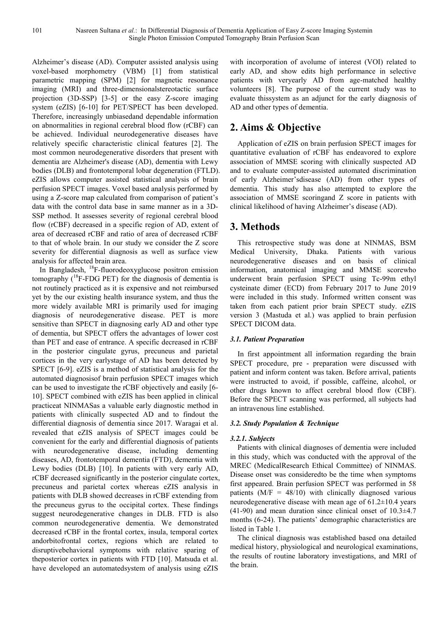Alzheimer's disease (AD). Computer assisted analysis using voxel-based morphometry (VBM) [1] from statistical parametric mapping (SPM) [2] for magnetic resonance imaging (MRI) and three-dimensionalstereotactic surface projection (3D-SSP) [3-5] or the easy Z-score imaging system (eZIS) [6-10] for PET/SPECT has been developed. Therefore, increasingly unbiasedand dependable information on abnormalities in regional cerebral blood flow (rCBF) can be achieved. Individual neurodegenerative diseases have relatively specific characteristic clinical features [2]. The most common neurodegenerative disorders that present with dementia are Alzheimer's disease (AD), dementia with Lewy bodies (DLB) and frontotemporal lobar degeneration (FTLD). eZIS allows computer assisted statistical analysis of brain perfusion SPECT images. Voxel based analysis performed by using a Z-score map calculated from comparison of patient's data with the control data base in same manner as in a 3D-SSP method. It assesses severity of regional cerebral blood flow (rCBF) decreased in a specific region of AD, extent of area of decreased rCBF and ratio of area of decreased rCBF to that of whole brain. In our study we consider the Z score severity for differential diagnosis as well as surface view analysis for affected brain area.

In Bangladesh, <sup>18</sup>F-fluorodeoxyglucose positron emission tomography (<sup>18</sup>F-FDG PET) for the diagnosis of dementia is not routinely practiced as it is expensive and not reimbursed yet by the our existing health insurance system, and thus the more widely available MRI is primarily used for imaging diagnosis of neurodegenerative disease. PET is more sensitive than SPECT in diagnosing early AD and other type of dementia, but SPECT offers the advantages of lower cost than PET and ease of entrance. A specific decreased in rCBF in the posterior cingulate gyrus, precuneus and parietal cortices in the very earlystage of AD has been detected by SPECT [6-9]. eZIS is a method of statistical analysis for the automated diagnosisof brain perfusion SPECT images which can be used to investigate the rCBF objectively and easily [6- 10]. SPECT combined with eZIS has been applied in clinical practiceat NINMASas a valuable early diagnostic method in patients with clinically suspected AD and to findout the differential diagnosis of dementia since 2017. Waragai et al. revealed that eZIS analysis of SPECT images could be convenient for the early and differential diagnosis of patients with neurodegenerative disease, including dementing diseases, AD, frontotemporal dementia (FTD), dementia with Lewy bodies (DLB) [10]. In patients with very early AD, rCBF decreased significantly in the posterior cingulate cortex, precuneus and parietal cortex whereas eZIS analysis in patients with DLB showed decreases in rCBF extending from the precuneus gyrus to the occipital cortex. These findings suggest neurodegenerative changes in DLB. FTD is also common neurodegenerative dementia. We demonstrated decreased rCBF in the frontal cortex, insula, temporal cortex andorbitofrontal cortex, regions which are related to disruptivebehavioral symptoms with relative sparing of theposterior cortex in patients with FTD [10]. Matsuda et al. have developed an automatedsystem of analysis using eZIS

with incorporation of avolume of interest (VOI) related to early AD, and show edits high performance in selective patients with veryearly AD from age-matched healthy volunteers [8]. The purpose of the current study was to evaluate thissystem as an adjunct for the early diagnosis of AD and other types of dementia.

# **2. Aims & Objective**

Application of eZIS on brain perfusion SPECT images for quantitative evaluation of rCBF has endeavored to explore association of MMSE scoring with clinically suspected AD and to evaluate computer-assisted automated discrimination of early Alzheimer'sdisease (AD) from other types of dementia. This study has also attempted to explore the association of MMSE scoringand Z score in patients with clinical likelihood of having Alzheimer's disease (AD).

# **3. Methods**

This retrospective study was done at NINMAS, BSM Medical University, Dhaka. Patients with various neurodegenerative diseases and on basis of clinical information, anatomical imaging and MMSE scorewho underwent brain perfusion SPECT using Tc-99m ethyl cysteinate dimer (ECD) from February 2017 to June 2019 were included in this study. Informed written consent was taken from each patient prior brain SPECT study. eZIS version 3 (Mastuda et al.) was applied to brain perfusion SPECT DICOM data.

### *3.1. Patient Preparation*

In first appointment all information regarding the brain SPECT procedure, pre - preparation were discussed with patient and inform content was taken. Before arrival, patients were instructed to avoid, if possible, caffeine, alcohol, or other drugs known to affect cerebral blood flow (CBF). Before the SPECT scanning was performed, all subjects had an intravenous line established.

#### *3.2. Study Population & Technique*

#### *3.2.1. Subjects*

Patients with clinical diagnoses of dementia were included in this study, which was conducted with the approval of the MREC (MedicalResearch Ethical Committee) of NINMAS. Disease onset was consideredto be the time when symptoms first appeared. Brain perfusion SPECT was performed in 58 patients  $(M/F = 48/10)$  with clinically diagnosed various neurodegenerative disease with mean age of 61.2±10.4 years  $(41-90)$  and mean duration since clinical onset of  $10.3\pm4.7$ months (6-24). The patients' demographic characteristics are listed in Table 1.

The clinical diagnosis was established based ona detailed medical history, physiological and neurological examinations, the results of routine laboratory investigations, and MRI of the brain.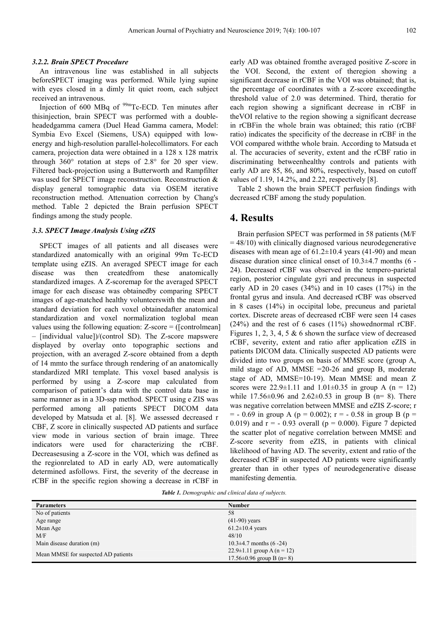#### *3.2.2. Brain SPECT Procedure*

An intravenous line was established in all subjects beforeSPECT imaging was performed. While lying supine with eyes closed in a dimly lit quiet room, each subject received an intravenous.

Injection of 600 MBq of  $99m$ Tc-ECD. Ten minutes after thisinjection, brain SPECT was performed with a doubleheadedgamma camera (Duel Head Gamma camera, Model: Symbia Evo Excel (Siemens, USA) equipped with lowenergy and high-resolution parallel-holecollimators. For each camera, projection data were obtained in a 128 x 128 matrix through 360° rotation at steps of 2.8° for 20 sper view. Filtered back-projection using a Butterworth and Rampfilter was used for SPECT image reconstruction. Reconstruction & display general tomographic data via OSEM iterative reconstruction method. Attenuation correction by Chang's method. Table 2 depicted the Brain perfusion SPECT findings among the study people.

#### *3.3. SPECT Image Analysis Using eZIS*

SPECT images of all patients and all diseases were standardized anatomically with an original 99m Tc-ECD template using eZIS. An averaged SPECT image for each disease was then createdfrom these anatomically standardized images. A Z-scoremap for the averaged SPECT image for each disease was obtainedby comparing SPECT images of age-matched healthy volunteerswith the mean and standard deviation for each voxel obtainedafter anatomical standardization and voxel normalization toglobal mean values using the following equation:  $Z$ -score = ([controlmean] – [individual value])/(control SD). The Z-score mapswere displayed by overlay onto topographic sections and projection, with an averaged Z-score obtained from a depth of 14 mmto the surface through rendering of an anatomically standardized MRI template. This voxel based analysis is performed by using a Z-score map calculated from comparison of patient's data with the control data base in same manner as in a 3D-ssp method. SPECT using e ZIS was performed among all patients SPECT DICOM data developed by Matsuda et al. [8]. We assessed decreased r CBF, Z score in clinically suspected AD patients and surface view mode in various section of brain image. Three indicators were used for characterizing the rCBF. Decreasesusing a Z-score in the VOI, which was defined as the regionrelated to AD in early AD, were automatically determined asfollows. First, the severity of the decrease in rCBF in the specific region showing a decrease in rCBF in

early AD was obtained fromthe averaged positive Z-score in the VOI. Second, the extent of theregion showing a significant decrease in rCBF in the VOI was obtained; that is, the percentage of coordinates with a Z-score exceedingthe threshold value of 2.0 was determined. Third, theratio for each region showing a significant decrease in rCBF in theVOI relative to the region showing a significant decrease in rCBFin the whole brain was obtained; this ratio (rCBF ratio) indicates the specificity of the decrease in rCBF in the VOI compared withthe whole brain. According to Matsuda et al. The accuracies of severity, extent and the rCBF ratio in discriminating betweenhealthy controls and patients with early AD are 85, 86, and 80%, respectively, based on cutoff values of 1.19, 14.2%, and 2.22, respectively [8].

Table 2 shown the brain SPECT perfusion findings with decreased rCBF among the study population.

#### **4. Results**

Brain perfusion SPECT was performed in 58 patients (M/F  $= 48/10$ ) with clinically diagnosed various neurodegenerative diseases with mean age of  $61.2 \pm 10.4$  years (41-90) and mean disease duration since clinical onset of 10.3±4.7 months (6 - 24). Decreased rCBF was observed in the tempero-parietal region, posterior cingulate gyri and precuneus in suspected early AD in 20 cases (34%) and in 10 cases (17%) in the frontal gyrus and insula. And decreased rCBF was observed in 8 cases (14%) in occipital lobe, precuneus and parietal cortex. Discrete areas of decreased rCBF were seen 14 cases (24%) and the rest of 6 cases (11%) showednormal rCBF. Figures 1, 2, 3, 4, 5 & 6 shown the surface view of decreased rCBF, severity, extent and ratio after application eZIS in patients DICOM data. Clinically suspected AD patients were divided into two groups on basis of MMSE score (group A, mild stage of AD, MMSE =20-26 and group B, moderate stage of AD, MMSE=10-19). Mean MMSE and mean Z scores were  $22.9 \pm 1.11$  and  $1.01 \pm 0.35$  in group A (n = 12) while  $17.56 \pm 0.96$  and  $2.62 \pm 0.53$  in group B (n= 8). There was negative correlation between MMSE and eZIS Z-score; r  $=$  - 0.69 in group A (p = 0.002); r = - 0.58 in group B (p = 0.019) and  $r = -0.93$  overall ( $p = 0.000$ ). Figure 7 depicted the scatter plot of negative correlation between MMSE and Z-score severity from eZIS, in patients with clinical likelihood of having AD. The severity, extent and ratio of the decreased rCBF in suspected AD patients were significantly greater than in other types of neurodegenerative disease manifesting dementia.

*Table 1. Demographic and clinical data of subjects.* 

| <b>Parameters</b>                   | <b>Number</b>                    |
|-------------------------------------|----------------------------------|
| No of patients                      | 58                               |
| Age range                           | $(41-90)$ years                  |
| Mean Age                            | $61.2 \pm 10.4$ years            |
| M/F                                 | 48/10                            |
| Main disease duration (m)           | 10.3 $\pm$ 4.7 months (6 -24)    |
| Mean MMSE for suspected AD patients | $22.9 \pm 1.11$ group A (n = 12) |
|                                     | 17.56 $\pm$ 0.96 group B (n= 8)  |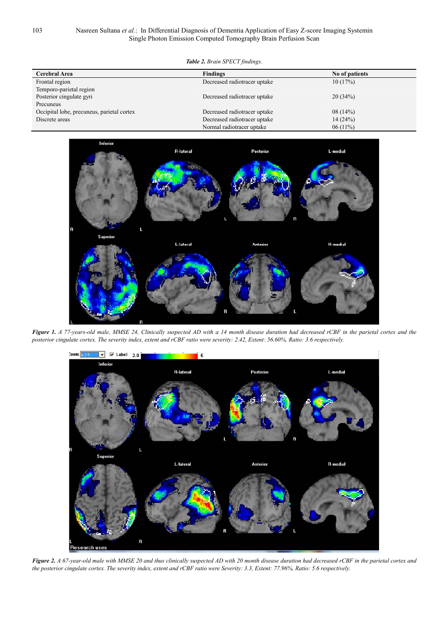```
Table 2. Brain SPECT findings.
```

| Cerebral Area                              | <b>Findings</b>              | No of patients |
|--------------------------------------------|------------------------------|----------------|
| Frontal region                             | Decreased radiotracer uptake | 10(17%)        |
| Temporo-parietal region                    |                              |                |
| Posterior cingulate gyri                   | Decreased radiotracer uptake | 20(34%)        |
| Precuneus                                  |                              |                |
| Occipital lobe, precuneus, parietal cortex | Decreased radiotracer uptake | 08(14%)        |
| Discrete areas                             | Decreased radiotracer uptake | 14(24%)        |
|                                            | Normal radiotracer uptake    | $06(11\%)$     |



*Figure 1. A 77-years-old male, MMSE 24, Clinically suspected AD with a 14 month disease duration had decreased rCBF in the parietal cortex and the posterior cingulate cortex. The severity index, extent and rCBF ratio were severity: 2.42, Extent: 56.60%, Ratio: 3.6 respectively.* 



*Figure 2. A 67-year-old male with MMSE 20 and thus clinically suspected AD with 20 month disease duration had decreased rCBF in the parietal cortex and the posterior cingulate cortex. The severity index, extent and rCBF ratio were Severity: 3.3, Extent: 77.96%, Ratio: 5.6 respectively.*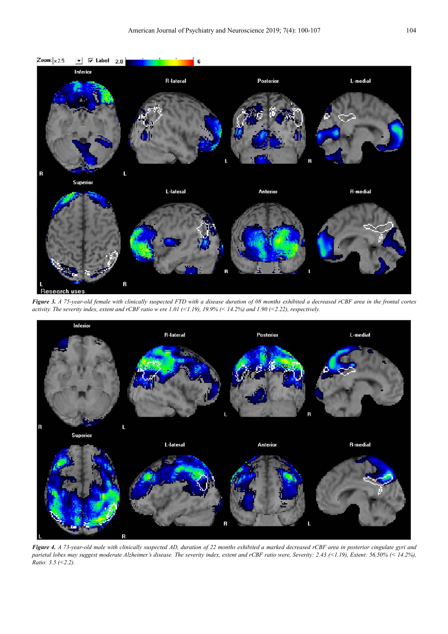

*Figure 3. A 75-year-old female with clinically suspected FTD with a disease duration of 08 months exhibited a decreased rCBF area in the frontal cortex activity. The severity index, extent and rCBF ratio w ere 1.01 (<1.19), 19.9% (< 14.2%) and 1.90 (<2.22), respectively.* 



*Figure 4. A 73-year-old male with clinically suspected AD, duration of 22 months exhibited a marked decreased rCBF area in posterior cingulate gyri and parietal lobes may suggest moderate Alzheimer's disease. The severity index, extent and rCBF ratio were, Severity: 2.43 (<1.19), Extent: 56.50% (< 14.2%), Ratio: 3.5 (<2.2).*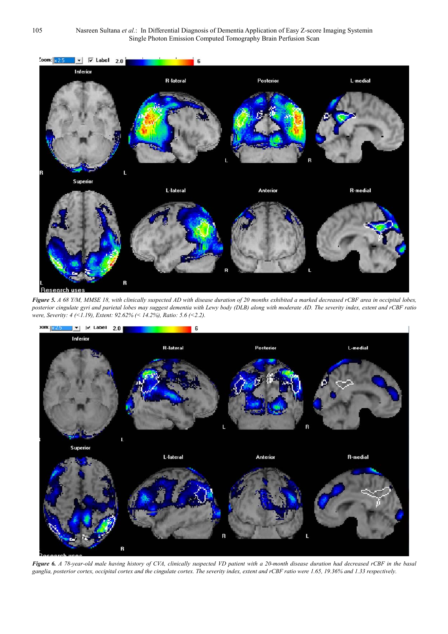

*Figure 5. A 68 Y/M, MMSE 18, with clinically suspected AD with disease duration of 20 months exhibited a marked decreased rCBF area in occipital lobes, posterior cingulate gyri and parietal lobes may suggest dementia with Lewy body (DLB) along with moderate AD. The severity index, extent and rCBF ratio were, Severity: 4 (<1.19), Extent: 92.62% (< 14.2%), Ratio: 5.6 (<2.2).* 



*Figure 6. A 78-year-old male having history of CVA, clinically suspected VD patient with a 20-month disease duration had decreased rCBF in the basal ganglia, posterior cortex, occipital cortex and the cingulate cortex. The severity index, extent and rCBF ratio were 1.65, 19.36% and 1.33 respectively.*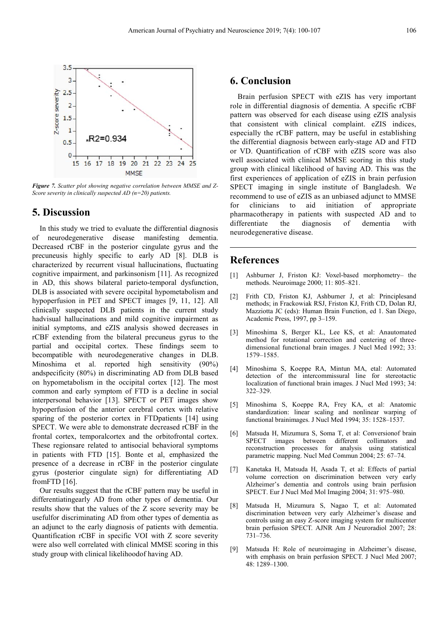

*Figure 7. Scatter plot showing negative correlation between MMSE and Z-Score severity in clinically suspected AD (n=20) patients.* 

#### **5. Discussion**

In this study we tried to evaluate the differential diagnosis of neurodegenerative disease manifesting dementia. Decreased rCBF in the posterior cingulate gyrus and the precuneusis highly specific to early AD [8]. DLB is characterized by recurrent visual hallucinations, fluctuating cognitive impairment, and parkinsonism [11]. As recognized in AD, this shows bilateral parieto-temporal dysfunction, DLB is associated with severe occipital hypometabolism and hypoperfusion in PET and SPECT images [9, 11, 12]. All clinically suspected DLB patients in the current study hadvisual hallucinations and mild cognitive impairment as initial symptoms, and eZIS analysis showed decreases in rCBF extending from the bilateral precuneus gyrus to the partial and occipital cortex. These findings seem to becompatible with neurodegenerative changes in DLB. Minoshima et al. reported high sensitivity (90%) andspecificity (80%) in discriminating AD from DLB based on hypometabolism in the occipital cortex [12]. The most common and early symptom of FTD is a decline in social interpersonal behavior [13]. SPECT or PET images show hypoperfusion of the anterior cerebral cortex with relative sparing of the posterior cortex in FTD patients [14] using SPECT. We were able to demonstrate decreased rCBF in the frontal cortex, temporalcortex and the orbitofrontal cortex. These regionsare related to antisocial behavioral symptoms in patients with FTD [15]. Bonte et al, emphasized the presence of a decrease in rCBF in the posterior cingulate gyrus (posterior cingulate sign) for differentiating AD fromFTD [16].

Our results suggest that the rCBF pattern may be useful in differentiatingearly AD from other types of dementia. Our results show that the values of the Z score severity may be usefulfor discriminating AD from other types of dementia as an adjunct to the early diagnosis of patients with dementia. Quantification rCBF in specific VOI with Z score severity were also well correlated with clinical MMSE scoring in this study group with clinical likelihoodof having AD.

### **6. Conclusion**

Brain perfusion SPECT with eZIS has very important role in differential diagnosis of dementia. A specific rCBF pattern was observed for each disease using eZIS analysis that consistent with clinical complaint. eZIS indices, especially the rCBF pattern, may be useful in establishing the differential diagnosis between early-stage AD and FTD or VD. Quantification of rCBF with eZIS score was also well associated with clinical MMSE scoring in this study group with clinical likelihood of having AD. This was the first experiences of application of eZIS in brain perfusion SPECT imaging in single institute of Bangladesh. We recommend to use of eZIS as an unbiased adjunct to MMSE for clinicians to aid initiation of appropriate pharmacotherapy in patients with suspected AD and to differentiate the diagnosis of dementia with neurodegenerative disease.

#### **References**

- [1] Ashburner J, Friston KJ: Voxel-based morphometry– the methods. Neuroimage 2000; 11: 805–821.
- [2] Frith CD, Friston KJ, Ashburner J, et al: Principlesand methods; in Frackowiak RSJ, Friston KJ, Frith CD, Dolan RJ, Mazziotta JC (eds): Human Brain Function, ed 1. San Diego, Academic Press, 1997, pp 3–159.
- [3] Minoshima S, Berger KL, Lee KS, et al: Anautomated method for rotational correction and centering of threedimensional functional brain images. J Nucl Med 1992; 33: 1579–1585.
- [4] Minoshima S, Koeppe RA, Mintun MA, etal: Automated detection of the intercommissural line for stereotactic localization of functional brain images. J Nucl Med 1993; 34: 322–329.
- [5] Minoshima S, Koeppe RA, Frey KA, et al: Anatomic standardization: linear scaling and nonlinear warping of functional brainimages. J Nucl Med 1994; 35: 1528–1537.
- [6] Matsuda H, Mizumura S, Soma T, et al: Conversionof brain SPECT images between different collimators and reconstruction processes for analysis using statistical parametric mapping. Nucl Med Commun 2004; 25: 67–74.
- [7] Kanetaka H, Matsuda H, Asada T, et al: Effects of partial volume correction on discrimination between very early Alzheimer's dementia and controls using brain perfusion SPECT. Eur J Nucl Med Mol Imaging 2004; 31: 975–980.
- [8] Matsuda H, Mizumura S, Nagao T, et al: Automated discrimination between very early Alzheimer's disease and controls using an easy Z-score imaging system for multicenter brain perfusion SPECT. AJNR Am J Neuroradiol 2007; 28: 731–736.
- [9] Matsuda H: Role of neuroimaging in Alzheimer's disease, with emphasis on brain perfusion SPECT. J Nucl Med 2007; 48: 1289–1300.